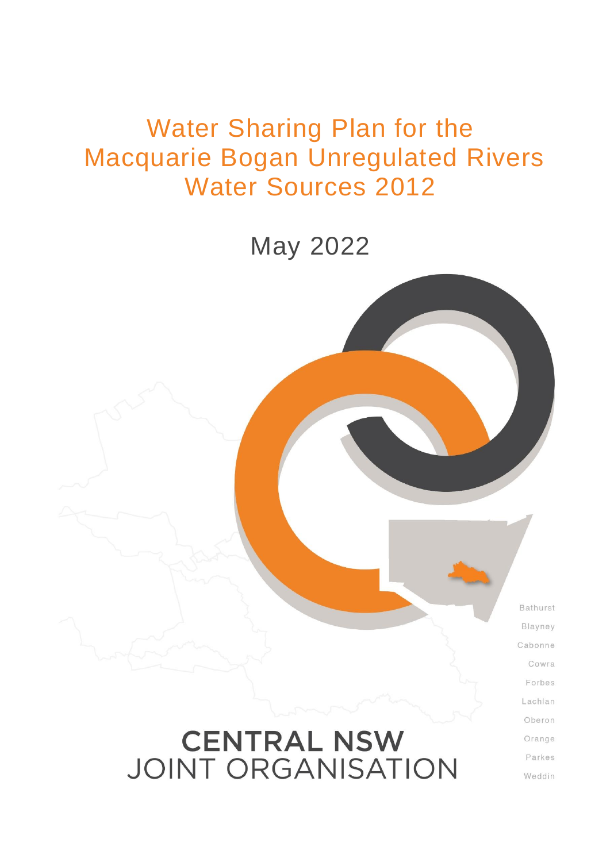# Water Sharing Plan for the Macquarie Bogan Unregulated Rivers Water Sources 2012

May 2022

Bathurst Blayney Cabonne Cowra Forbes Lachlan Oberon Orange Parkes

Weddin

# **CENTRAL NSW JOINT ORGANISATION**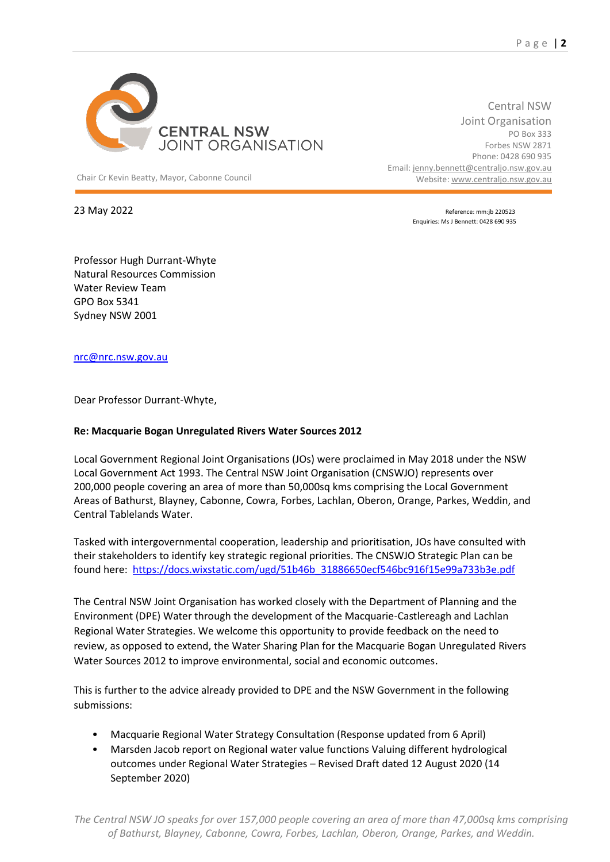

Chair Cr Kevin Beatty, Mayor, Cabonne Council Website: [www.centraljo.nsw.gov.au](http://www.centraljo.nsw.gov.au/)

Central NSW Joint Organisation PO Box 333 Forbes NSW 2871 Phone: 0428 690 935 Email[: jenny.bennett@centraljo.nsw.gov.au](mailto:jenny.bennett@centraljo.nsw.gov.au)

23 May 2022 **Reference:** mm:jb 220523 Enquiries: Ms J Bennett: 0428 690 935

Professor Hugh Durrant-Whyte Natural Resources Commission Water Review Team GPO Box 5341 Sydney NSW 2001

[nrc@nrc.nsw.gov.au](mailto:nrc@nrc.nsw.gov.au)

Dear Professor Durrant-Whyte,

#### **Re: [Macquarie Bogan Unregulated Rivers Water Sources 2012](https://legislation.nsw.gov.au/view/html/inforce/current/sl-2012-0490)**

Local Government Regional Joint Organisations (JOs) were proclaimed in May 2018 under the NSW Local Government Act 1993. The Central NSW Joint Organisation (CNSWJO) represents over 200,000 people covering an area of more than 50,000sq kms comprising the Local Government Areas of Bathurst, Blayney, Cabonne, Cowra, Forbes, Lachlan, Oberon, Orange, Parkes, Weddin, and Central Tablelands Water.

Tasked with intergovernmental cooperation, leadership and prioritisation, JOs have consulted with their stakeholders to identify key strategic regional priorities. The CNSWJO Strategic Plan can be found here: [https://docs.wixstatic.com/ugd/51b46b\\_31886650ecf546bc916f15e99a733b3e.pdf](https://docs.wixstatic.com/ugd/51b46b_31886650ecf546bc916f15e99a733b3e.pdf)

The Central NSW Joint Organisation has worked closely with the Department of Planning and the Environment (DPE) Water through the development of the Macquarie-Castlereagh and Lachlan Regional Water Strategies. We welcome this opportunity to provide feedback on the need to review, as opposed to extend, the Water Sharing Plan for the Macquarie Bogan Unregulated Rivers Water Sources 2012 to improve environmental, social and economic outcomes.

This is further to the advice already provided to DPE and the NSW Government in the following submissions:

- Macquarie Regional Water Strategy Consultation (Response updated from 6 April)
- Marsden Jacob report on Regional water value functions Valuing different hydrological outcomes under Regional Water Strategies – Revised Draft dated 12 August 2020 (14 September 2020)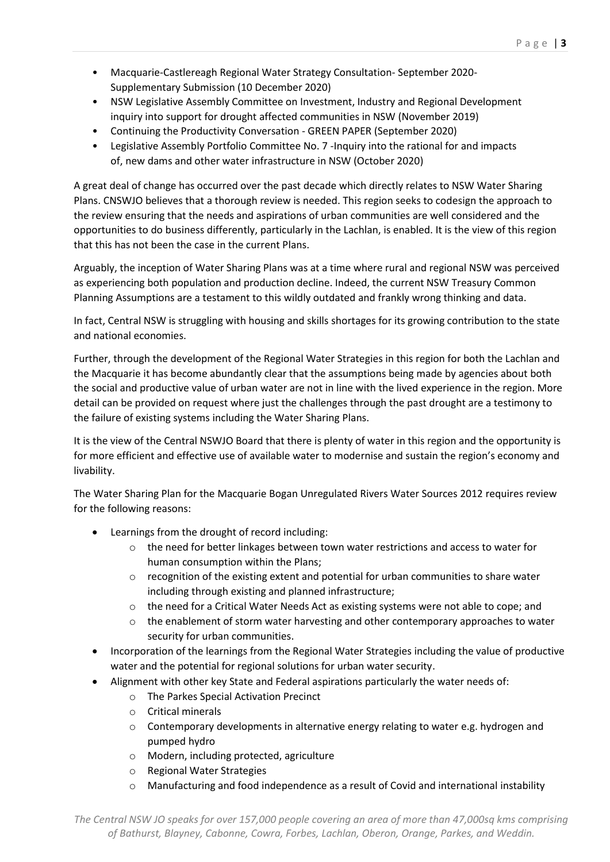- Macquarie-Castlereagh Regional Water Strategy Consultation- September 2020- Supplementary Submission (10 December 2020)
- NSW Legislative Assembly Committee on Investment, Industry and Regional Development inquiry into support for drought affected communities in NSW (November 2019)
- Continuing the Productivity Conversation GREEN PAPER (September 2020)
- Legislative Assembly Portfolio Committee No. 7 -Inquiry into the rational for and impacts of, new dams and other water infrastructure in NSW (October 2020)

A great deal of change has occurred over the past decade which directly relates to NSW Water Sharing Plans. CNSWJO believes that a thorough review is needed. This region seeks to codesign the approach to the review ensuring that the needs and aspirations of urban communities are well considered and the opportunities to do business differently, particularly in the Lachlan, is enabled. It is the view of this region that this has not been the case in the current Plans.

Arguably, the inception of Water Sharing Plans was at a time where rural and regional NSW was perceived as experiencing both population and production decline. Indeed, the current NSW Treasury Common Planning Assumptions are a testament to this wildly outdated and frankly wrong thinking and data.

In fact, Central NSW is struggling with housing and skills shortages for its growing contribution to the state and national economies.

Further, through the development of the Regional Water Strategies in this region for both the Lachlan and the Macquarie it has become abundantly clear that the assumptions being made by agencies about both the social and productive value of urban water are not in line with the lived experience in the region. More detail can be provided on request where just the challenges through the past drought are a testimony to the failure of existing systems including the Water Sharing Plans.

It is the view of the Central NSWJO Board that there is plenty of water in this region and the opportunity is for more efficient and effective use of available water to modernise and sustain the region's economy and livability.

The Water Sharing Plan for the [Macquarie Bogan Unregulated Rivers Water Sources 2012](https://legislation.nsw.gov.au/view/html/inforce/current/sl-2012-0490) requires review for the following reasons:

- Learnings from the drought of record including:
	- $\circ$  the need for better linkages between town water restrictions and access to water for human consumption within the Plans;
	- $\circ$  recognition of the existing extent and potential for urban communities to share water including through existing and planned infrastructure;
	- o the need for a Critical Water Needs Act as existing systems were not able to cope; and
	- $\circ$  the enablement of storm water harvesting and other contemporary approaches to water security for urban communities.
- Incorporation of the learnings from the Regional Water Strategies including the value of productive water and the potential for regional solutions for urban water security.
- Alignment with other key State and Federal aspirations particularly the water needs of:
	- o The Parkes Special Activation Precinct
		- o Critical minerals
		- $\circ$  Contemporary developments in alternative energy relating to water e.g. hydrogen and pumped hydro
		- o Modern, including protected, agriculture
		- o Regional Water Strategies
		- o Manufacturing and food independence as a result of Covid and international instability

*The Central NSW JO speaks for over 157,000 people covering an area of more than 47,000sq kms comprising of Bathurst, Blayney, Cabonne, Cowra, Forbes, Lachlan, Oberon, Orange, Parkes, and Weddin.*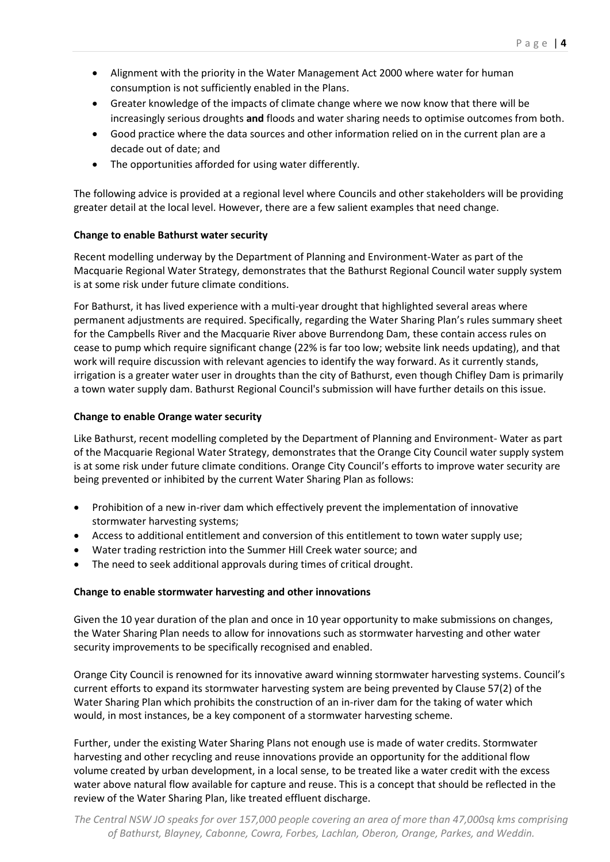- Alignment with the priority in the Water Management Act 2000 where water for human consumption is not sufficiently enabled in the Plans.
- Greater knowledge of the impacts of climate change where we now know that there will be increasingly serious droughts **and** floods and water sharing needs to optimise outcomes from both.
- Good practice where the data sources and other information relied on in the current plan are a decade out of date; and
- The opportunities afforded for using water differently.

The following advice is provided at a regional level where Councils and other stakeholders will be providing greater detail at the local level. However, there are a few salient examples that need change.

# **Change to enable Bathurst water security**

Recent modelling underway by the Department of Planning and Environment-Water as part of the Macquarie Regional Water Strategy, demonstrates that the Bathurst Regional Council water supply system is at some risk under future climate conditions.

For Bathurst, it has lived experience with a multi-year drought that highlighted several areas where permanent adjustments are required. Specifically, regarding the Water Sharing Plan's rules summary sheet for the Campbells River and the Macquarie River above Burrendong Dam, these contain access rules on cease to pump which require significant change (22% is far too low; website link needs updating), and that work will require discussion with relevant agencies to identify the way forward. As it currently stands, irrigation is a greater water user in droughts than the city of Bathurst, even though Chifley Dam is primarily a town water supply dam. Bathurst Regional Council's submission will have further details on this issue.

### **Change to enable Orange water security**

Like Bathurst, recent modelling completed by the Department of Planning and Environment- Water as part of the Macquarie Regional Water Strategy, demonstrates that the Orange City Council water supply system is at some risk under future climate conditions. Orange City Council's efforts to improve water security are being prevented or inhibited by the current Water Sharing Plan as follows:

- Prohibition of a new in-river dam which effectively prevent the implementation of innovative stormwater harvesting systems;
- Access to additional entitlement and conversion of this entitlement to town water supply use;
- Water trading restriction into the Summer Hill Creek water source; and
- The need to seek additional approvals during times of critical drought.

#### **Change to enable stormwater harvesting and other innovations**

Given the 10 year duration of the plan and once in 10 year opportunity to make submissions on changes, the Water Sharing Plan needs to allow for innovations such as stormwater harvesting and other water security improvements to be specifically recognised and enabled.

Orange City Council is renowned for its innovative award winning stormwater harvesting systems. Council's current efforts to expand its stormwater harvesting system are being prevented by Clause 57(2) of the Water Sharing Plan which prohibits the construction of an in-river dam for the taking of water which would, in most instances, be a key component of a stormwater harvesting scheme.

Further, under the existing Water Sharing Plans not enough use is made of water credits. Stormwater harvesting and other recycling and reuse innovations provide an opportunity for the additional flow volume created by urban development, in a local sense, to be treated like a water credit with the excess water above natural flow available for capture and reuse. This is a concept that should be reflected in the review of the Water Sharing Plan, like treated effluent discharge.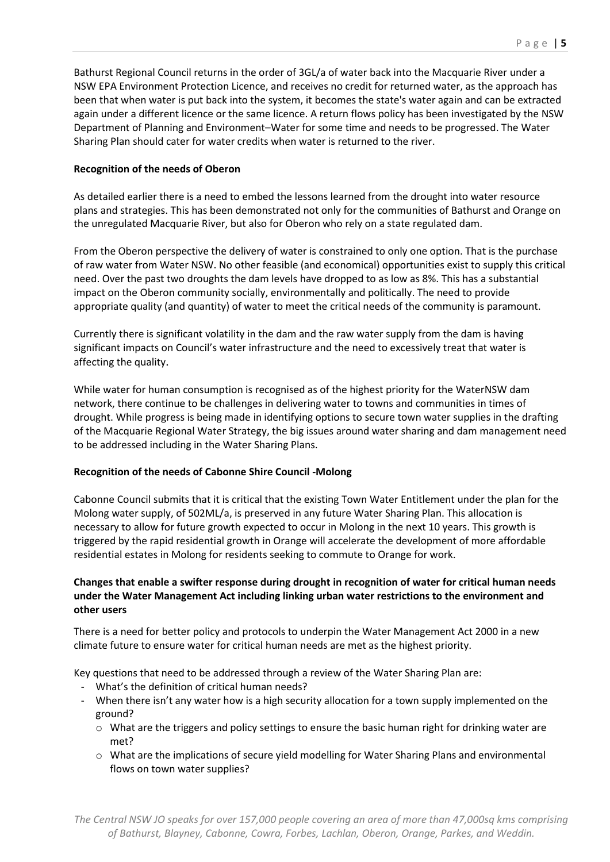Bathurst Regional Council returns in the order of 3GL/a of water back into the Macquarie River under a NSW EPA Environment Protection Licence, and receives no credit for returned water, as the approach has been that when water is put back into the system, it becomes the state's water again and can be extracted again under a different licence or the same licence. A return flows policy has been investigated by the NSW Department of Planning and Environment–Water for some time and needs to be progressed. The Water Sharing Plan should cater for water credits when water is returned to the river.

### **Recognition of the needs of Oberon**

As detailed earlier there is a need to embed the lessons learned from the drought into water resource plans and strategies. This has been demonstrated not only for the communities of Bathurst and Orange on the unregulated Macquarie River, but also for Oberon who rely on a state regulated dam.

From the Oberon perspective the delivery of water is constrained to only one option. That is the purchase of raw water from Water NSW. No other feasible (and economical) opportunities exist to supply this critical need. Over the past two droughts the dam levels have dropped to as low as 8%. This has a substantial impact on the Oberon community socially, environmentally and politically. The need to provide appropriate quality (and quantity) of water to meet the critical needs of the community is paramount.

Currently there is significant volatility in the dam and the raw water supply from the dam is having significant impacts on Council's water infrastructure and the need to excessively treat that water is affecting the quality.

While water for human consumption is recognised as of the highest priority for the WaterNSW dam network, there continue to be challenges in delivering water to towns and communities in times of drought. While progress is being made in identifying options to secure town water supplies in the drafting of the Macquarie Regional Water Strategy, the big issues around water sharing and dam management need to be addressed including in the Water Sharing Plans.

#### **Recognition of the needs of Cabonne Shire Council -Molong**

Cabonne Council submits that it is critical that the existing Town Water Entitlement under the plan for the Molong water supply, of 502ML/a, is preserved in any future Water Sharing Plan. This allocation is necessary to allow for future growth expected to occur in Molong in the next 10 years. This growth is triggered by the rapid residential growth in Orange will accelerate the development of more affordable residential estates in Molong for residents seeking to commute to Orange for work.

## **Changes that enable a swifter response during drought in recognition of water for critical human needs under the Water Management Act including linking urban water restrictions to the environment and other users**

There is a need for better policy and protocols to underpin the Water Management Act 2000 in a new climate future to ensure water for critical human needs are met as the highest priority.

Key questions that need to be addressed through a review of the Water Sharing Plan are:

- What's the definition of critical human needs?
- When there isn't any water how is a high security allocation for a town supply implemented on the ground?
	- $\circ$  What are the triggers and policy settings to ensure the basic human right for drinking water are met?
	- o What are the implications of secure yield modelling for Water Sharing Plans and environmental flows on town water supplies?